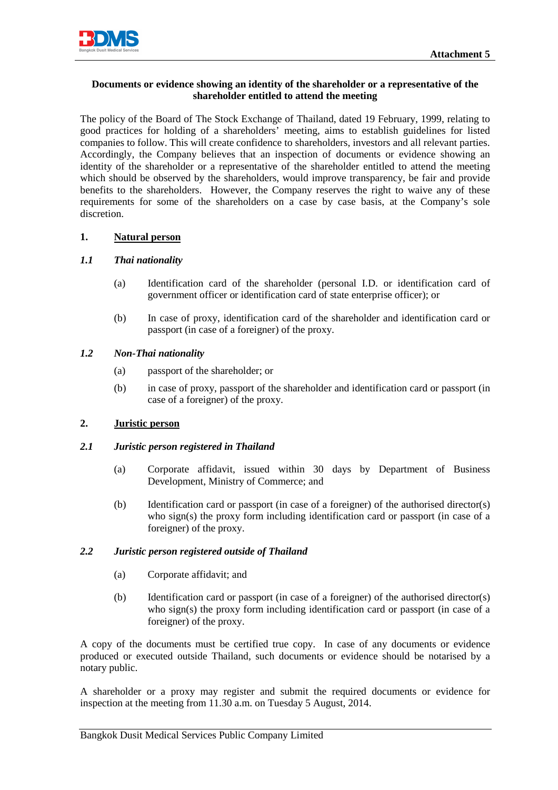

## **Documents or evidence showing an identity of the shareholder or a representative of the shareholder entitled to attend the meeting**

The policy of the Board of The Stock Exchange of Thailand, dated 19 February, 1999, relating to good practices for holding of a shareholders' meeting, aims to establish guidelines for listed companies to follow. This will create confidence to shareholders, investors and all relevant parties. Accordingly, the Company believes that an inspection of documents or evidence showing an identity of the shareholder or a representative of the shareholder entitled to attend the meeting which should be observed by the shareholders, would improve transparency, be fair and provide benefits to the shareholders. However, the Company reserves the right to waive any of these requirements for some of the shareholders on a case by case basis, at the Company's sole discretion.

## **1. Natural person**

## *1.1 Thai nationality*

- (a) Identification card of the shareholder (personal I.D. or identification card of government officer or identification card of state enterprise officer); or
- (b) In case of proxy, identification card of the shareholder and identification card or passport (in case of a foreigner) of the proxy.

## *1.2 Non-Thai nationality*

- (a) passport of the shareholder; or
- (b) in case of proxy, passport of the shareholder and identification card or passport (in case of a foreigner) of the proxy.

## **2. Juristic person**

#### *2.1 Juristic person registered in Thailand*

- (a) Corporate affidavit, issued within 30 days by Department of Business Development, Ministry of Commerce; and
- (b) Identification card or passport (in case of a foreigner) of the authorised director(s) who sign(s) the proxy form including identification card or passport (in case of a foreigner) of the proxy.

#### *2.2 Juristic person registered outside of Thailand*

- (a) Corporate affidavit; and
- (b) Identification card or passport (in case of a foreigner) of the authorised director(s) who sign(s) the proxy form including identification card or passport (in case of a foreigner) of the proxy.

A copy of the documents must be certified true copy. In case of any documents or evidence produced or executed outside Thailand, such documents or evidence should be notarised by a notary public.

A shareholder or a proxy may register and submit the required documents or evidence for inspection at the meeting from 11.30 a.m. on Tuesday 5 August, 2014.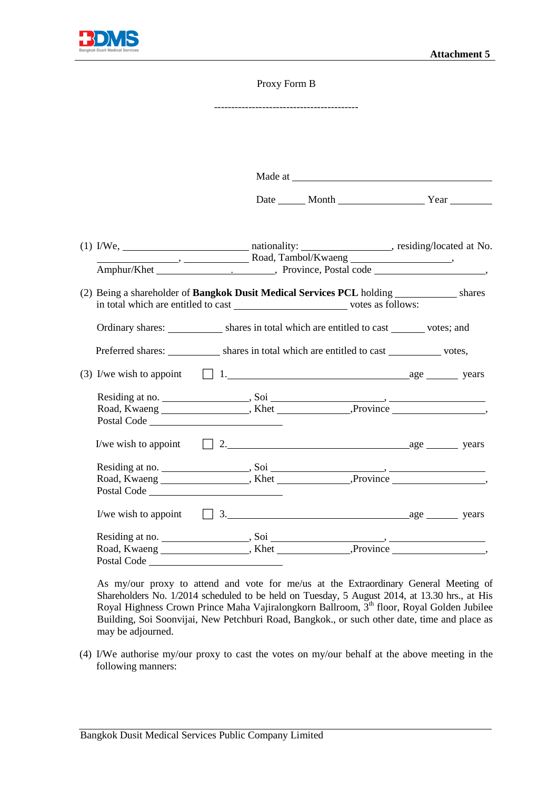

#### Proxy Form B

------------------------------------------ Made at the contract of the contract of the contract of the contract of the contract of the contract of the contract of the contract of the contract of the contract of the contract of the contract of the contract of the co Date Month Year (1) I/We, nationality: , residing/located at No. **Manual Common Common Common Common Common Common Common Common Common Common Common Common Common Common Common Common Common Common Common Common Common Common Common Common Common Common Common Common Common Common Comm** Amphur/Khet . , Province, Postal code , (2) Being a shareholder of **Bangkok Dusit Medical Services PCL** holding shares in total which are entitled to cast votes as follows: Ordinary shares: shares in total which are entitled to cast votes; and Preferred shares: shares in total which are entitled to cast votes, (3) I/we wish to appoint  $\Box$  1. age years Residing at no. , Soi , Road, Kwaeng , Khet , Reference , Road, Kwaeng , Khet , Reference , Reference , Reference , Reference , Reference , Reference , Reference , Reference ,  $\mathbb{R}$ Postal Code I/we wish to appoint  $\Box$  2.  $\Box$  2.  $\Box$  2.  $\Box$  2.  $\Box$  2.  $\Box$  2.  $\Box$  2.  $\Box$  3.  $\Box$  3.  $\Box$  3.  $\Box$  3.  $\Box$  3.  $\Box$  3.  $\Box$  3.  $\Box$  3.  $\Box$  3.  $\Box$  3.  $\Box$  3.  $\Box$  3.  $\Box$  3.  $\Box$  3.  $\Box$  3.  $\Box$  3.  $\Box$  3.  $\Box$  3. Residing at no. , Soi , Road, Kwaeng \_\_\_\_\_\_\_\_\_\_\_\_\_\_\_\_\_, Khet \_\_\_\_\_\_\_\_\_\_\_\_\_\_, Province \_\_\_\_\_\_\_\_\_\_\_\_\_\_\_\_, Postal Code I/we wish to appoint  $\Box$  3.  $\Box$  age years Residing at no. , Soi , Road, Kwaeng \_\_\_\_\_\_\_\_\_\_\_\_\_\_\_\_, Khet \_\_\_\_\_\_\_\_\_\_\_\_, Province \_\_\_\_\_\_\_\_\_\_\_\_\_\_\_, Postal Code<sup>-</sup>

As my/our proxy to attend and vote for me/us at the Extraordinary General Meeting of Shareholders No. 1/2014 scheduled to be held on Tuesday, 5 August 2014, at 13.30 hrs., at His Royal Highness Crown Prince Maha Vajiralongkorn Ballroom, 3<sup>th</sup> floor, Royal Golden Jubilee Building, Soi Soonvijai, New Petchburi Road, Bangkok., or such other date, time and place as may be adjourned.

(4) I/We authorise my/our proxy to cast the votes on my/our behalf at the above meeting in the following manners: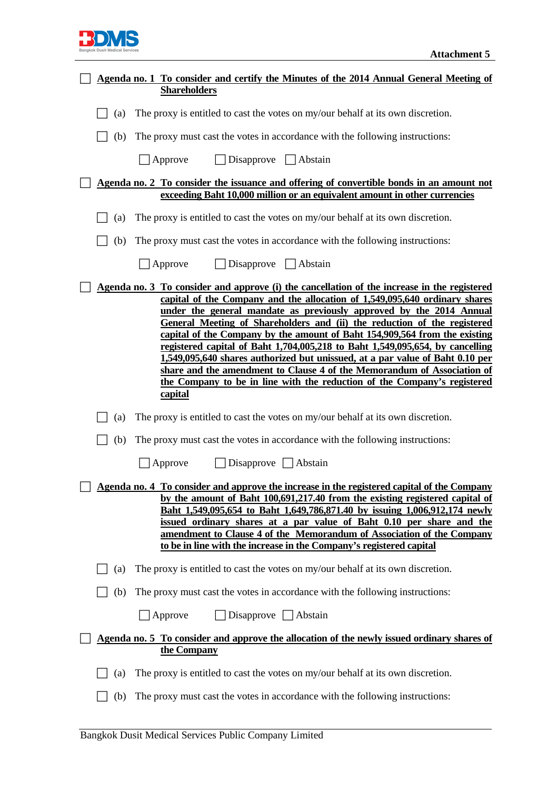

| Agenda no. 1 To consider and certify the Minutes of the 2014 Annual General Meeting of |                                                                                                                                                                                                                                                                                                                                                                                                                                                                                                                                                                                                                                                                                                                                                       |  |
|----------------------------------------------------------------------------------------|-------------------------------------------------------------------------------------------------------------------------------------------------------------------------------------------------------------------------------------------------------------------------------------------------------------------------------------------------------------------------------------------------------------------------------------------------------------------------------------------------------------------------------------------------------------------------------------------------------------------------------------------------------------------------------------------------------------------------------------------------------|--|
|                                                                                        | <b>Shareholders</b>                                                                                                                                                                                                                                                                                                                                                                                                                                                                                                                                                                                                                                                                                                                                   |  |
| (a)                                                                                    | The proxy is entitled to cast the votes on my/our behalf at its own discretion.                                                                                                                                                                                                                                                                                                                                                                                                                                                                                                                                                                                                                                                                       |  |
| (b)                                                                                    | The proxy must cast the votes in accordance with the following instructions:                                                                                                                                                                                                                                                                                                                                                                                                                                                                                                                                                                                                                                                                          |  |
|                                                                                        | $\Box$ Disapprove $\Box$ Abstain<br>$\Box$ Approve                                                                                                                                                                                                                                                                                                                                                                                                                                                                                                                                                                                                                                                                                                    |  |
|                                                                                        | Agenda no. 2 To consider the issuance and offering of convertible bonds in an amount not                                                                                                                                                                                                                                                                                                                                                                                                                                                                                                                                                                                                                                                              |  |
|                                                                                        | exceeding Baht 10,000 million or an equivalent amount in other currencies                                                                                                                                                                                                                                                                                                                                                                                                                                                                                                                                                                                                                                                                             |  |
| (a)                                                                                    | The proxy is entitled to cast the votes on my/our behalf at its own discretion.                                                                                                                                                                                                                                                                                                                                                                                                                                                                                                                                                                                                                                                                       |  |
| (b)                                                                                    | The proxy must cast the votes in accordance with the following instructions:                                                                                                                                                                                                                                                                                                                                                                                                                                                                                                                                                                                                                                                                          |  |
|                                                                                        | $\Box$ Disapprove $\Box$ Abstain<br>Approve                                                                                                                                                                                                                                                                                                                                                                                                                                                                                                                                                                                                                                                                                                           |  |
|                                                                                        | <u>Agenda no. 3 To consider and approve (i) the cancellation of the increase in the registered</u><br>capital of the Company and the allocation of 1,549,095,640 ordinary shares<br>under the general mandate as previously approved by the 2014 Annual<br>General Meeting of Shareholders and (ii) the reduction of the registered<br>capital of the Company by the amount of Baht 154,909,564 from the existing<br>registered capital of Baht 1,704,005,218 to Baht 1,549,095,654, by cancelling<br>1,549,095,640 shares authorized but unissued, at a par value of Baht 0.10 per<br>share and the amendment to Clause 4 of the Memorandum of Association of<br>the Company to be in line with the reduction of the Company's registered<br>capital |  |
| (a)                                                                                    | The proxy is entitled to cast the votes on my/our behalf at its own discretion.                                                                                                                                                                                                                                                                                                                                                                                                                                                                                                                                                                                                                                                                       |  |
| (b)                                                                                    | The proxy must cast the votes in accordance with the following instructions:                                                                                                                                                                                                                                                                                                                                                                                                                                                                                                                                                                                                                                                                          |  |
|                                                                                        | $\Box$ Disapprove $\Box$ Abstain<br>Approve                                                                                                                                                                                                                                                                                                                                                                                                                                                                                                                                                                                                                                                                                                           |  |
|                                                                                        | Agenda no. 4 To consider and approve the increase in the registered capital of the Company<br>by the amount of Baht 100,691,217.40 from the existing registered capital of<br><u>Baht 1,549,095,654 to Baht 1,649,786,871.40 by issuing 1,006,912,174 newly</u><br>issued ordinary shares at a par value of Baht 0.10 per share and the<br>amendment to Clause 4 of the Memorandum of Association of the Company<br>to be in line with the increase in the Company's registered capital                                                                                                                                                                                                                                                               |  |
| (a)                                                                                    | The proxy is entitled to cast the votes on my/our behalf at its own discretion.                                                                                                                                                                                                                                                                                                                                                                                                                                                                                                                                                                                                                                                                       |  |
| (b)                                                                                    | The proxy must cast the votes in accordance with the following instructions:                                                                                                                                                                                                                                                                                                                                                                                                                                                                                                                                                                                                                                                                          |  |
|                                                                                        | Disapprove $\Box$ Abstain<br>$\Box$ Approve                                                                                                                                                                                                                                                                                                                                                                                                                                                                                                                                                                                                                                                                                                           |  |
|                                                                                        | Agenda no. 5 To consider and approve the allocation of the newly issued ordinary shares of<br>the Company                                                                                                                                                                                                                                                                                                                                                                                                                                                                                                                                                                                                                                             |  |
| (a)                                                                                    | The proxy is entitled to cast the votes on my/our behalf at its own discretion.                                                                                                                                                                                                                                                                                                                                                                                                                                                                                                                                                                                                                                                                       |  |
| (b)                                                                                    | The proxy must cast the votes in accordance with the following instructions:                                                                                                                                                                                                                                                                                                                                                                                                                                                                                                                                                                                                                                                                          |  |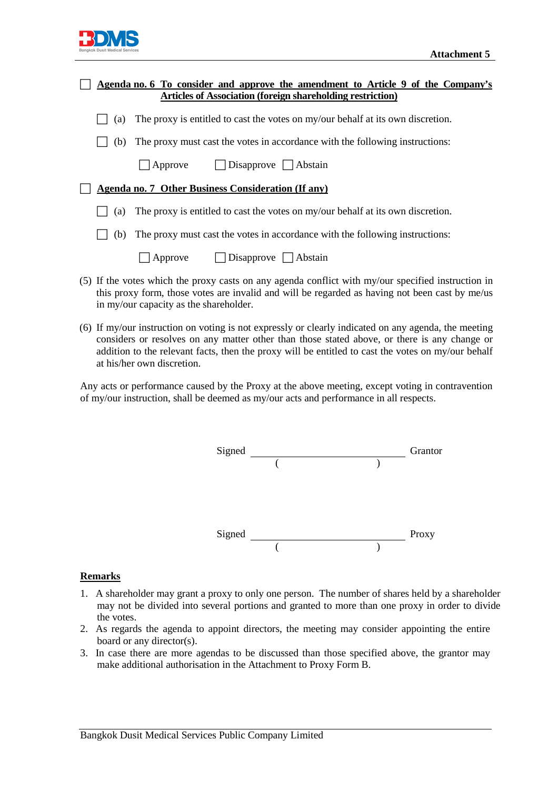

|     | Agenda no. 6 To consider and approve the amendment to Article 9 of the Company's                                                                                                                     |
|-----|------------------------------------------------------------------------------------------------------------------------------------------------------------------------------------------------------|
|     | <b>Articles of Association (foreign shareholding restriction)</b>                                                                                                                                    |
| (a) | The proxy is entitled to cast the votes on my/our behalf at its own discretion.                                                                                                                      |
| (b) | The proxy must cast the votes in accordance with the following instructions:                                                                                                                         |
|     | $\Box$ Approve $\Box$ Disapprove $\Box$ Abstain                                                                                                                                                      |
|     | Agenda no. 7 Other Business Consideration (If any)                                                                                                                                                   |
| (a) | The proxy is entitled to cast the votes on my/our behalf at its own discretion.                                                                                                                      |
| (b) | The proxy must cast the votes in accordance with the following instructions:                                                                                                                         |
|     | $\Box$ Disapprove $\Box$ Abstain<br>Approve                                                                                                                                                          |
|     | (5) If the votes which the proxy casts on any agenda conflict with my/our specified instruction in<br>this proxy form, those votes are invalid and will be regarded as having not been cast by me/us |

(6) If my/our instruction on voting is not expressly or clearly indicated on any agenda, the meeting considers or resolves on any matter other than those stated above, or there is any change or addition to the relevant facts, then the proxy will be entitled to cast the votes on my/our behalf at his/her own discretion.

Any acts or performance caused by the Proxy at the above meeting, except voting in contravention of my/our instruction, shall be deemed as my/our acts and performance in all respects.



#### **Remarks**

- 1. A shareholder may grant a proxy to only one person. The number of shares held by a shareholder may not be divided into several portions and granted to more than one proxy in order to divide the votes.
- 2. As regards the agenda to appoint directors, the meeting may consider appointing the entire board or any director(s).
- 3. In case there are more agendas to be discussed than those specified above, the grantor may make additional authorisation in the Attachment to Proxy Form B.

in my/our capacity as the shareholder.